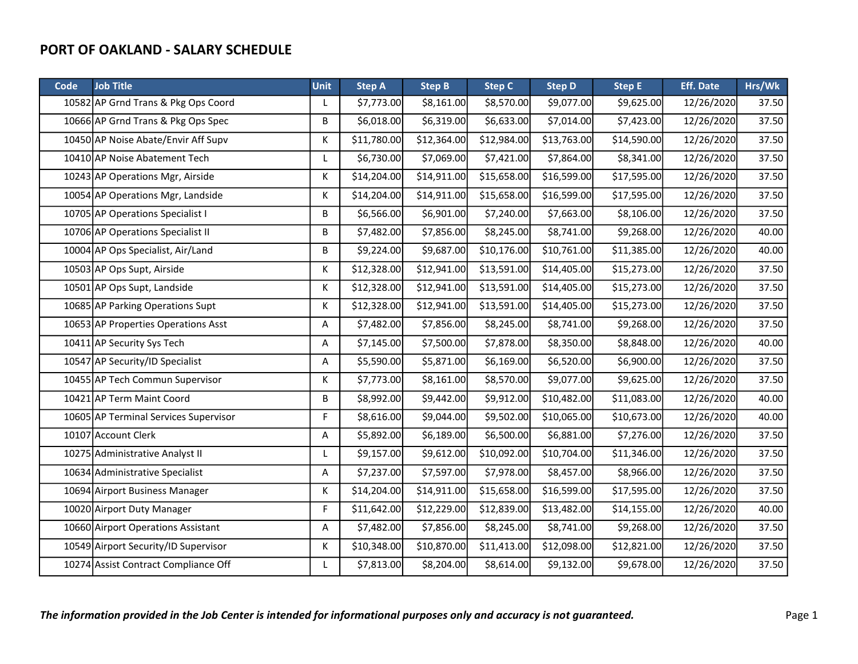| Code | <b>Job Title</b>                      | <b>Unit</b> | <b>Step A</b> | <b>Step B</b> | <b>Step C</b> | <b>Step D</b> | <b>Step E</b> | <b>Eff. Date</b> | Hrs/Wk |
|------|---------------------------------------|-------------|---------------|---------------|---------------|---------------|---------------|------------------|--------|
|      | 10582 AP Grnd Trans & Pkg Ops Coord   | L           | \$7,773.00    | \$8,161.00    | \$8,570.00    | \$9,077.00    | \$9,625.00    | 12/26/2020       | 37.50  |
|      | 10666 AP Grnd Trans & Pkg Ops Spec    | В           | \$6,018.00    | \$6,319.00    | \$6,633.00    | \$7,014.00    | \$7,423.00    | 12/26/2020       | 37.50  |
|      | 10450 AP Noise Abate/Envir Aff Supv   | K           | \$11,780.00   | \$12,364.00   | \$12,984.00   | \$13,763.00   | \$14,590.00   | 12/26/2020       | 37.50  |
|      | 10410 AP Noise Abatement Tech         | L           | \$6,730.00    | \$7,069.00    | \$7,421.00    | \$7,864.00    | \$8,341.00    | 12/26/2020       | 37.50  |
|      | 10243 AP Operations Mgr, Airside      | К           | \$14,204.00   | \$14,911.00   | \$15,658.00   | \$16,599.00   | \$17,595.00   | 12/26/2020       | 37.50  |
|      | 10054 AP Operations Mgr, Landside     | K           | \$14,204.00   | \$14,911.00   | \$15,658.00   | \$16,599.00   | \$17,595.00   | 12/26/2020       | 37.50  |
|      | 10705 AP Operations Specialist I      | B           | \$6,566.00    | \$6,901.00    | \$7,240.00    | \$7,663.00    | \$8,106.00    | 12/26/2020       | 37.50  |
|      | 10706 AP Operations Specialist II     | В           | \$7,482.00    | \$7,856.00    | \$8,245.00    | \$8,741.00    | \$9,268.00    | 12/26/2020       | 40.00  |
|      | 10004 AP Ops Specialist, Air/Land     | В           | \$9,224.00    | \$9,687.00    | \$10,176.00   | \$10,761.00   | \$11,385.00   | 12/26/2020       | 40.00  |
|      | 10503 AP Ops Supt, Airside            | Κ           | \$12,328.00   | \$12,941.00   | \$13,591.00   | \$14,405.00   | \$15,273.00   | 12/26/2020       | 37.50  |
|      | 10501 AP Ops Supt, Landside           | K           | \$12,328.00   | \$12,941.00   | \$13,591.00   | \$14,405.00   | \$15,273.00   | 12/26/2020       | 37.50  |
|      | 10685 AP Parking Operations Supt      | Κ           | \$12,328.00   | \$12,941.00   | \$13,591.00   | \$14,405.00   | \$15,273.00   | 12/26/2020       | 37.50  |
|      | 10653 AP Properties Operations Asst   | Α           | \$7,482.00    | \$7,856.00    | \$8,245.00    | \$8,741.00    | \$9,268.00    | 12/26/2020       | 37.50  |
|      | 10411 AP Security Sys Tech            | Α           | \$7,145.00    | \$7,500.00    | \$7,878.00    | \$8,350.00    | \$8,848.00    | 12/26/2020       | 40.00  |
|      | 10547 AP Security/ID Specialist       | A           | \$5,590.00    | \$5,871.00    | \$6,169.00    | \$6,520.00    | \$6,900.00    | 12/26/2020       | 37.50  |
|      | 10455 AP Tech Commun Supervisor       | К           | \$7,773.00    | \$8,161.00    | \$8,570.00    | \$9,077.00    | \$9,625.00    | 12/26/2020       | 37.50  |
|      | 10421 AP Term Maint Coord             | B           | \$8,992.00    | \$9,442.00    | \$9,912.00    | \$10,482.00   | \$11,083.00   | 12/26/2020       | 40.00  |
|      | 10605 AP Terminal Services Supervisor | F           | \$8,616.00    | \$9,044.00    | \$9,502.00    | \$10,065.00   | \$10,673.00   | 12/26/2020       | 40.00  |
|      | 10107 Account Clerk                   | Α           | \$5,892.00    | \$6,189.00    | \$6,500.00    | \$6,881.00    | \$7,276.00    | 12/26/2020       | 37.50  |
|      | 10275 Administrative Analyst II       | L           | \$9,157.00    | \$9,612.00    | \$10,092.00   | \$10,704.00   | \$11,346.00   | 12/26/2020       | 37.50  |
|      | 10634 Administrative Specialist       | Α           | \$7,237.00    | \$7,597.00    | \$7,978.00    | \$8,457.00    | \$8,966.00    | 12/26/2020       | 37.50  |
|      | 10694 Airport Business Manager        | K           | \$14,204.00   | \$14,911.00   | \$15,658.00   | \$16,599.00   | \$17,595.00   | 12/26/2020       | 37.50  |
|      | 10020 Airport Duty Manager            | F           | \$11,642.00   | \$12,229.00   | \$12,839.00   | \$13,482.00   | \$14,155.00   | 12/26/2020       | 40.00  |
|      | 10660 Airport Operations Assistant    | Α           | \$7,482.00    | \$7,856.00    | \$8,245.00    | \$8,741.00    | \$9,268.00    | 12/26/2020       | 37.50  |
|      | 10549 Airport Security/ID Supervisor  | К           | \$10,348.00   | \$10,870.00   | \$11,413.00   | \$12,098.00   | \$12,821.00   | 12/26/2020       | 37.50  |
|      | 10274 Assist Contract Compliance Off  | L           | \$7,813.00    | \$8,204.00    | \$8,614.00    | \$9,132.00    | \$9,678.00    | 12/26/2020       | 37.50  |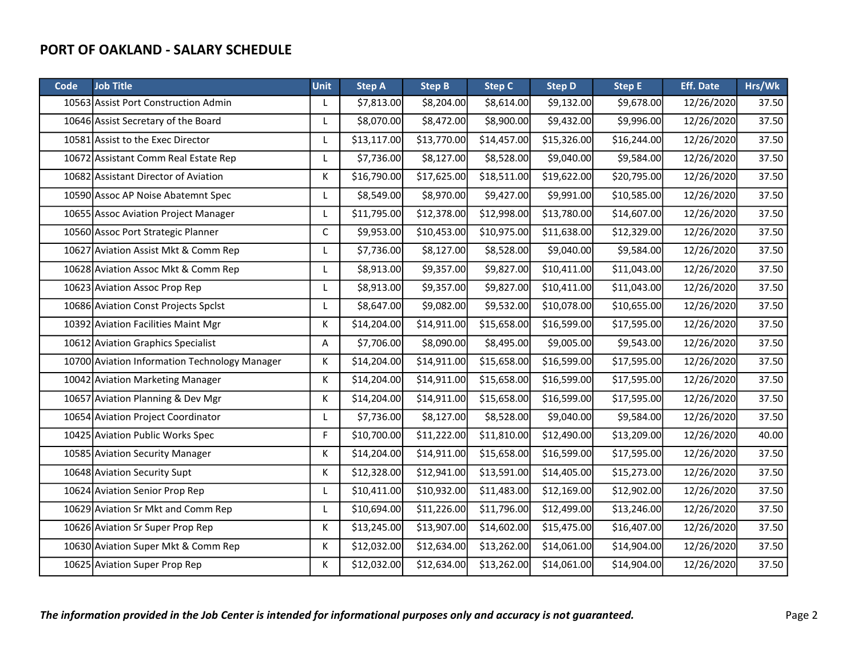| Code | <b>Job Title</b>                              | <b>Unit</b> | <b>Step A</b> | <b>Step B</b> | <b>Step C</b> | <b>Step D</b> | <b>Step E</b> | <b>Eff. Date</b> | Hrs/Wk |
|------|-----------------------------------------------|-------------|---------------|---------------|---------------|---------------|---------------|------------------|--------|
|      | 10563 Assist Port Construction Admin          | L           | \$7,813.00    | \$8,204.00    | \$8,614.00    | \$9,132.00    | \$9,678.00    | 12/26/2020       | 37.50  |
|      | 10646 Assist Secretary of the Board           | L           | \$8,070.00    | \$8,472.00    | \$8,900.00    | \$9,432.00    | \$9,996.00    | 12/26/2020       | 37.50  |
|      | 10581 Assist to the Exec Director             | L           | \$13,117.00   | \$13,770.00   | \$14,457.00   | \$15,326.00   | \$16,244.00   | 12/26/2020       | 37.50  |
|      | 10672 Assistant Comm Real Estate Rep          | L           | \$7,736.00    | \$8,127.00    | \$8,528.00    | \$9,040.00    | \$9,584.00    | 12/26/2020       | 37.50  |
|      | 10682 Assistant Director of Aviation          | К           | \$16,790.00   | \$17,625.00   | \$18,511.00   | \$19,622.00   | \$20,795.00   | 12/26/2020       | 37.50  |
|      | 10590 Assoc AP Noise Abatemnt Spec            | L           | \$8,549.00    | \$8,970.00    | \$9,427.00    | \$9,991.00    | \$10,585.00   | 12/26/2020       | 37.50  |
|      | 10655 Assoc Aviation Project Manager          | L           | \$11,795.00   | \$12,378.00   | \$12,998.00   | \$13,780.00   | \$14,607.00   | 12/26/2020       | 37.50  |
|      | 10560 Assoc Port Strategic Planner            | C           | \$9,953.00    | \$10,453.00   | \$10,975.00   | \$11,638.00   | \$12,329.00   | 12/26/2020       | 37.50  |
|      | 10627 Aviation Assist Mkt & Comm Rep          | L           | \$7,736.00    | \$8,127.00    | \$8,528.00    | \$9,040.00    | \$9,584.00    | 12/26/2020       | 37.50  |
|      | 10628 Aviation Assoc Mkt & Comm Rep           | L           | \$8,913.00    | \$9,357.00    | \$9,827.00    | \$10,411.00   | \$11,043.00   | 12/26/2020       | 37.50  |
|      | 10623 Aviation Assoc Prop Rep                 | L           | \$8,913.00    | \$9,357.00    | \$9,827.00    | \$10,411.00   | \$11,043.00   | 12/26/2020       | 37.50  |
|      | 10686 Aviation Const Projects Spclst          | L           | \$8,647.00    | \$9,082.00    | \$9,532.00    | \$10,078.00   | \$10,655.00   | 12/26/2020       | 37.50  |
|      | 10392 Aviation Facilities Maint Mgr           | К           | \$14,204.00   | \$14,911.00   | \$15,658.00   | \$16,599.00   | \$17,595.00   | 12/26/2020       | 37.50  |
|      | 10612 Aviation Graphics Specialist            | Α           | \$7,706.00    | \$8,090.00    | \$8,495.00    | \$9,005.00    | \$9,543.00    | 12/26/2020       | 37.50  |
|      | 10700 Aviation Information Technology Manager | К           | \$14,204.00   | \$14,911.00   | \$15,658.00   | \$16,599.00   | \$17,595.00   | 12/26/2020       | 37.50  |
|      | 10042 Aviation Marketing Manager              | К           | \$14,204.00   | \$14,911.00   | \$15,658.00   | \$16,599.00   | \$17,595.00   | 12/26/2020       | 37.50  |
|      | 10657 Aviation Planning & Dev Mgr             | К           | \$14,204.00   | \$14,911.00   | \$15,658.00   | \$16,599.00   | \$17,595.00   | 12/26/2020       | 37.50  |
|      | 10654 Aviation Project Coordinator            | L           | \$7,736.00    | \$8,127.00    | \$8,528.00    | \$9,040.00    | \$9,584.00    | 12/26/2020       | 37.50  |
|      | 10425 Aviation Public Works Spec              | F           | \$10,700.00   | \$11,222.00   | \$11,810.00   | \$12,490.00   | \$13,209.00   | 12/26/2020       | 40.00  |
|      | 10585 Aviation Security Manager               | К           | \$14,204.00   | \$14,911.00   | \$15,658.00   | \$16,599.00   | \$17,595.00   | 12/26/2020       | 37.50  |
|      | 10648 Aviation Security Supt                  | К           | \$12,328.00   | \$12,941.00   | \$13,591.00   | \$14,405.00   | \$15,273.00   | 12/26/2020       | 37.50  |
|      | 10624 Aviation Senior Prop Rep                | L           | \$10,411.00   | \$10,932.00   | \$11,483.00   | \$12,169.00   | \$12,902.00   | 12/26/2020       | 37.50  |
|      | 10629 Aviation Sr Mkt and Comm Rep            | L           | \$10,694.00   | \$11,226.00   | \$11,796.00   | \$12,499.00   | \$13,246.00   | 12/26/2020       | 37.50  |
|      | 10626 Aviation Sr Super Prop Rep              | К           | \$13,245.00   | \$13,907.00   | \$14,602.00   | \$15,475.00   | \$16,407.00   | 12/26/2020       | 37.50  |
|      | 10630 Aviation Super Mkt & Comm Rep           | К           | \$12,032.00   | \$12,634.00   | \$13,262.00   | \$14,061.00   | \$14,904.00   | 12/26/2020       | 37.50  |
|      | 10625 Aviation Super Prop Rep                 | К           | \$12,032.00   | \$12,634.00   | \$13,262.00   | \$14,061.00   | \$14,904.00   | 12/26/2020       | 37.50  |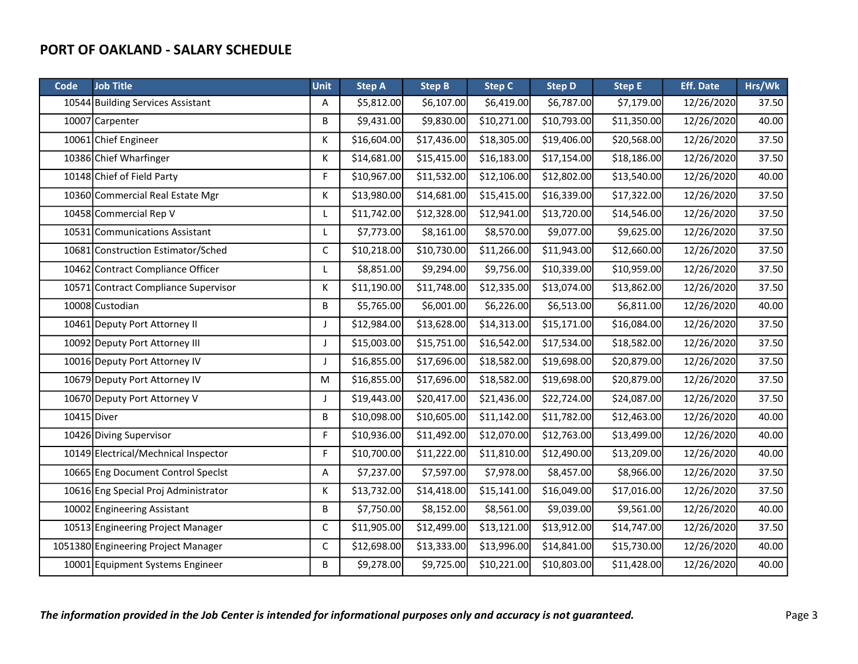| Code | <b>Job Title</b>                     | <b>Unit</b> | <b>Step A</b> | <b>Step B</b> | <b>Step C</b> | <b>Step D</b> | <b>Step E</b> | <b>Eff. Date</b> | Hrs/Wk |
|------|--------------------------------------|-------------|---------------|---------------|---------------|---------------|---------------|------------------|--------|
|      | 10544 Building Services Assistant    | Α           | \$5,812.00    | \$6,107.00    | \$6,419.00    | \$6,787.00    | \$7,179.00    | 12/26/2020       | 37.50  |
|      | 10007 Carpenter                      | B           | \$9,431.00    | \$9,830.00    | \$10,271.00   | \$10,793.00   | \$11,350.00   | 12/26/2020       | 40.00  |
|      | 10061 Chief Engineer                 | Κ           | \$16,604.00   | \$17,436.00   | \$18,305.00   | \$19,406.00   | \$20,568.00   | 12/26/2020       | 37.50  |
|      | 10386 Chief Wharfinger               | K           | \$14,681.00   | \$15,415.00   | \$16,183.00   | \$17,154.00   | \$18,186.00   | 12/26/2020       | 37.50  |
|      | 10148 Chief of Field Party           | F           | \$10,967.00   | \$11,532.00   | \$12,106.00   | \$12,802.00   | \$13,540.00   | 12/26/2020       | 40.00  |
|      | 10360 Commercial Real Estate Mgr     | K           | \$13,980.00   | \$14,681.00   | \$15,415.00   | \$16,339.00   | \$17,322.00   | 12/26/2020       | 37.50  |
|      | 10458 Commercial Rep V               | L           | \$11,742.00   | \$12,328.00   | \$12,941.00   | \$13,720.00   | \$14,546.00   | 12/26/2020       | 37.50  |
|      | 10531 Communications Assistant       | L           | \$7,773.00    | \$8,161.00    | \$8,570.00    | \$9,077.00    | \$9,625.00    | 12/26/2020       | 37.50  |
|      | 10681 Construction Estimator/Sched   | $\mathsf C$ | \$10,218.00   | \$10,730.00   | \$11,266.00   | \$11,943.00   | \$12,660.00   | 12/26/2020       | 37.50  |
|      | 10462 Contract Compliance Officer    | L           | \$8,851.00    | \$9,294.00    | \$9,756.00    | \$10,339.00   | \$10,959.00   | 12/26/2020       | 37.50  |
|      | 10571 Contract Compliance Supervisor | K           | \$11,190.00   | \$11,748.00   | \$12,335.00   | \$13,074.00   | \$13,862.00   | 12/26/2020       | 37.50  |
|      | 10008 Custodian                      | B           | \$5,765.00    | \$6,001.00    | \$6,226.00    | \$6,513.00    | \$6,811.00    | 12/26/2020       | 40.00  |
|      | 10461 Deputy Port Attorney II        | J           | \$12,984.00   | \$13,628.00   | \$14,313.00   | \$15,171.00   | \$16,084.00   | 12/26/2020       | 37.50  |
|      | 10092 Deputy Port Attorney III       | J           | \$15,003.00   | \$15,751.00   | \$16,542.00   | \$17,534.00   | \$18,582.00   | 12/26/2020       | 37.50  |
|      | 10016 Deputy Port Attorney IV        | J           | \$16,855.00   | \$17,696.00   | \$18,582.00   | \$19,698.00   | \$20,879.00   | 12/26/2020       | 37.50  |
|      | 10679 Deputy Port Attorney IV        | M           | \$16,855.00   | \$17,696.00   | \$18,582.00   | \$19,698.00   | \$20,879.00   | 12/26/2020       | 37.50  |
|      | 10670 Deputy Port Attorney V         | J           | \$19,443.00   | \$20,417.00   | \$21,436.00   | \$22,724.00   | \$24,087.00   | 12/26/2020       | 37.50  |
|      | 10415 Diver                          | B           | \$10,098.00   | \$10,605.00   | \$11,142.00   | \$11,782.00   | \$12,463.00   | 12/26/2020       | 40.00  |
|      | 10426 Diving Supervisor              | F           | \$10,936.00   | \$11,492.00   | \$12,070.00   | \$12,763.00   | \$13,499.00   | 12/26/2020       | 40.00  |
|      | 10149 Electrical/Mechnical Inspector | F           | \$10,700.00   | \$11,222.00   | \$11,810.00   | \$12,490.00   | \$13,209.00   | 12/26/2020       | 40.00  |
|      | 10665 Eng Document Control Specist   | Α           | \$7,237.00    | \$7,597.00    | \$7,978.00    | \$8,457.00    | \$8,966.00    | 12/26/2020       | 37.50  |
|      | 10616 Eng Special Proj Administrator | K           | \$13,732.00   | \$14,418.00   | \$15,141.00   | \$16,049.00   | \$17,016.00   | 12/26/2020       | 37.50  |
|      | 10002 Engineering Assistant          | В           | \$7,750.00    | \$8,152.00    | \$8,561.00    | \$9,039.00    | \$9,561.00    | 12/26/2020       | 40.00  |
|      | 10513 Engineering Project Manager    | $\mathsf C$ | \$11,905.00   | \$12,499.00   | \$13,121.00   | \$13,912.00   | \$14,747.00   | 12/26/2020       | 37.50  |
|      | 1051380 Engineering Project Manager  | $\mathsf C$ | \$12,698.00   | \$13,333.00   | \$13,996.00   | \$14,841.00   | \$15,730.00   | 12/26/2020       | 40.00  |
|      | 10001 Equipment Systems Engineer     | B           | \$9,278.00    | \$9,725.00    | \$10,221.00   | \$10,803.00   | \$11,428.00   | 12/26/2020       | 40.00  |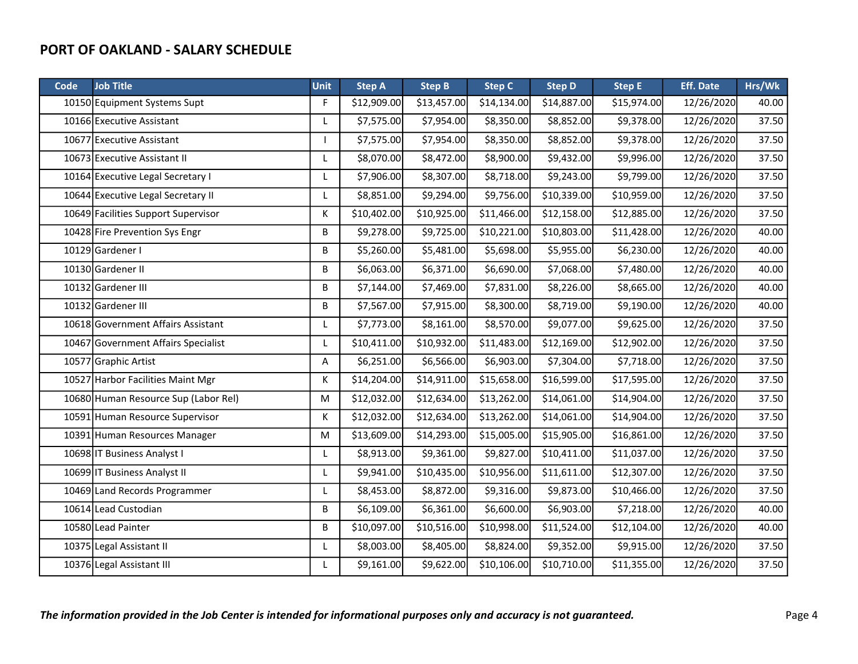| <b>Code</b> | <b>Job Title</b>                     | <b>Unit</b> | <b>Step A</b> | <b>Step B</b> | <b>Step C</b> | <b>Step D</b> | <b>Step E</b> | <b>Eff. Date</b> | Hrs/Wk |
|-------------|--------------------------------------|-------------|---------------|---------------|---------------|---------------|---------------|------------------|--------|
|             | 10150 Equipment Systems Supt         | F           | \$12,909.00   | \$13,457.00   | \$14,134.00   | \$14,887.00   | \$15,974.00   | 12/26/2020       | 40.00  |
|             | 10166 Executive Assistant            | L           | \$7,575.00    | \$7,954.00    | \$8,350.00    | \$8,852.00    | \$9,378.00    | 12/26/2020       | 37.50  |
|             | 10677 Executive Assistant            |             | \$7,575.00    | \$7,954.00    | \$8,350.00    | \$8,852.00    | \$9,378.00    | 12/26/2020       | 37.50  |
|             | 10673 Executive Assistant II         | L           | \$8,070.00    | \$8,472.00    | \$8,900.00    | \$9,432.00    | \$9,996.00    | 12/26/2020       | 37.50  |
|             | 10164 Executive Legal Secretary I    | L           | \$7,906.00    | \$8,307.00    | \$8,718.00    | \$9,243.00    | \$9,799.00    | 12/26/2020       | 37.50  |
|             | 10644 Executive Legal Secretary II   | L           | \$8,851.00    | \$9,294.00    | \$9,756.00    | \$10,339.00   | \$10,959.00   | 12/26/2020       | 37.50  |
|             | 10649 Facilities Support Supervisor  | Κ           | \$10,402.00   | \$10,925.00   | \$11,466.00   | \$12,158.00   | \$12,885.00   | 12/26/2020       | 37.50  |
|             | 10428 Fire Prevention Sys Engr       | B           | \$9,278.00    | \$9,725.00    | \$10,221.00   | \$10,803.00   | \$11,428.00   | 12/26/2020       | 40.00  |
|             | 10129 Gardener I                     | B           | \$5,260.00    | \$5,481.00    | \$5,698.00    | \$5,955.00    | \$6,230.00    | 12/26/2020       | 40.00  |
|             | 10130 Gardener II                    | B           | \$6,063.00    | \$6,371.00    | \$6,690.00    | \$7,068.00    | \$7,480.00    | 12/26/2020       | 40.00  |
|             | 10132 Gardener III                   | B           | \$7,144.00    | \$7,469.00    | \$7,831.00    | \$8,226.00    | \$8,665.00    | 12/26/2020       | 40.00  |
|             | 10132 Gardener III                   | B           | \$7,567.00    | \$7,915.00    | \$8,300.00    | \$8,719.00    | \$9,190.00    | 12/26/2020       | 40.00  |
|             | 10618 Government Affairs Assistant   | L           | \$7,773.00    | \$8,161.00    | \$8,570.00    | \$9,077.00    | \$9,625.00    | 12/26/2020       | 37.50  |
|             | 10467 Government Affairs Specialist  | L           | \$10,411.00   | \$10,932.00   | \$11,483.00   | \$12,169.00   | \$12,902.00   | 12/26/2020       | 37.50  |
|             | 10577 Graphic Artist                 | A           | \$6,251.00    | \$6,566.00    | \$6,903.00    | \$7,304.00    | \$7,718.00    | 12/26/2020       | 37.50  |
|             | 10527 Harbor Facilities Maint Mgr    | К           | \$14,204.00   | \$14,911.00   | \$15,658.00   | \$16,599.00   | \$17,595.00   | 12/26/2020       | 37.50  |
|             | 10680 Human Resource Sup (Labor Rel) | M           | \$12,032.00   | \$12,634.00   | \$13,262.00   | \$14,061.00   | \$14,904.00   | 12/26/2020       | 37.50  |
|             | 10591 Human Resource Supervisor      | K           | \$12,032.00   | \$12,634.00   | \$13,262.00   | \$14,061.00   | \$14,904.00   | 12/26/2020       | 37.50  |
|             | 10391 Human Resources Manager        | M           | \$13,609.00   | \$14,293.00   | \$15,005.00   | \$15,905.00   | \$16,861.00   | 12/26/2020       | 37.50  |
|             | 10698 IT Business Analyst I          | L           | \$8,913.00    | \$9,361.00    | \$9,827.00    | \$10,411.00   | \$11,037.00   | 12/26/2020       | 37.50  |
|             | 10699 IT Business Analyst II         | L           | \$9,941.00    | \$10,435.00   | \$10,956.00   | \$11,611.00   | \$12,307.00   | 12/26/2020       | 37.50  |
|             | 10469 Land Records Programmer        | L           | \$8,453.00    | \$8,872.00    | \$9,316.00    | \$9,873.00    | \$10,466.00   | 12/26/2020       | 37.50  |
|             | 10614 Lead Custodian                 | B           | \$6,109.00    | \$6,361.00    | \$6,600.00    | \$6,903.00    | \$7,218.00    | 12/26/2020       | 40.00  |
|             | 10580 Lead Painter                   | B           | \$10,097.00   | \$10,516.00   | \$10,998.00   | \$11,524.00   | \$12,104.00   | 12/26/2020       | 40.00  |
|             | 10375 Legal Assistant II             | L           | \$8,003.00    | \$8,405.00    | \$8,824.00    | \$9,352.00    | \$9,915.00    | 12/26/2020       | 37.50  |
|             | 10376 Legal Assistant III            | L           | \$9,161.00    | \$9,622.00    | \$10,106.00   | \$10,710.00   | \$11,355.00   | 12/26/2020       | 37.50  |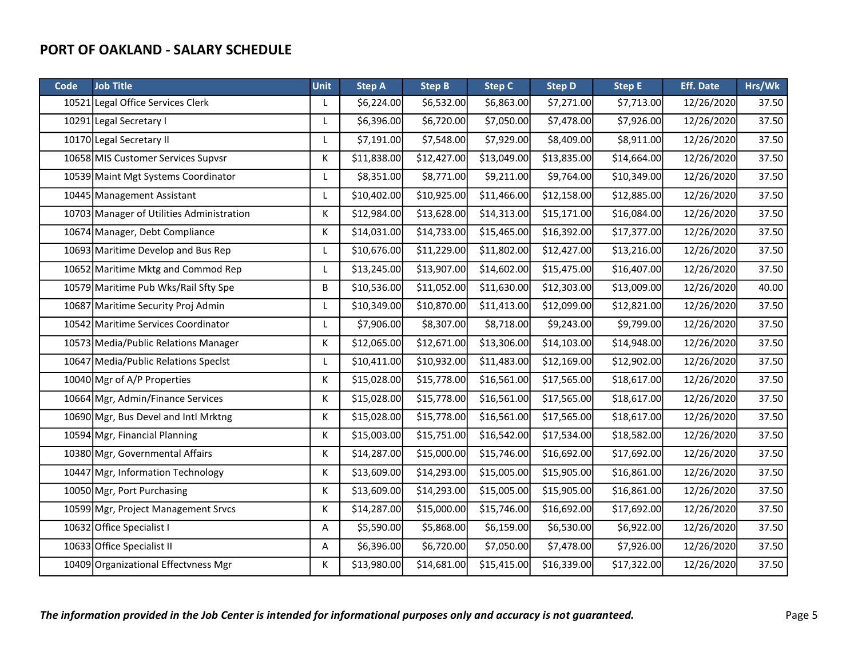| Code | <b>Job Title</b>                          | <b>Unit</b> | <b>Step A</b>           | <b>Step B</b> | <b>Step C</b> | <b>Step D</b> | <b>Step E</b> | <b>Eff. Date</b> | Hrs/Wk |
|------|-------------------------------------------|-------------|-------------------------|---------------|---------------|---------------|---------------|------------------|--------|
|      | 10521 Legal Office Services Clerk         | L           | \$6,224.00              | \$6,532.00    | \$6,863.00    | \$7,271.00    | \$7,713.00    | 12/26/2020       | 37.50  |
|      | 10291 Legal Secretary I                   | L           | \$6,396.00              | \$6,720.00    | \$7,050.00    | \$7,478.00    | \$7,926.00    | 12/26/2020       | 37.50  |
|      | 10170 Legal Secretary II                  | L           | \$7,191.00              | \$7,548.00    | \$7,929.00    | \$8,409.00    | \$8,911.00    | 12/26/2020       | 37.50  |
|      | 10658 MIS Customer Services Supvsr        | К           | \$11,838.00             | \$12,427.00   | \$13,049.00   | \$13,835.00   | \$14,664.00   | 12/26/2020       | 37.50  |
|      | 10539 Maint Mgt Systems Coordinator       | L           | \$8,351.00              | \$8,771.00    | \$9,211.00    | \$9,764.00    | \$10,349.00   | 12/26/2020       | 37.50  |
|      | 10445 Management Assistant                | L           | \$10,402.00             | \$10,925.00   | \$11,466.00   | \$12,158.00   | \$12,885.00   | 12/26/2020       | 37.50  |
|      | 10703 Manager of Utilities Administration | К           | \$12,984.00             | \$13,628.00   | \$14,313.00   | \$15,171.00   | \$16,084.00   | 12/26/2020       | 37.50  |
|      | 10674 Manager, Debt Compliance            | Κ           | \$14,031.00             | \$14,733.00   | \$15,465.00   | \$16,392.00   | \$17,377.00   | 12/26/2020       | 37.50  |
|      | 10693 Maritime Develop and Bus Rep        | L           | \$10,676.00             | \$11,229.00   | \$11,802.00   | \$12,427.00   | \$13,216.00   | 12/26/2020       | 37.50  |
|      | 10652 Maritime Mktg and Commod Rep        | L           | \$13,245.00             | \$13,907.00   | \$14,602.00   | \$15,475.00   | \$16,407.00   | 12/26/2020       | 37.50  |
|      | 10579 Maritime Pub Wks/Rail Sfty Spe      | В           | \$10,536.00             | \$11,052.00   | \$11,630.00   | \$12,303.00   | \$13,009.00   | 12/26/2020       | 40.00  |
|      | 10687 Maritime Security Proj Admin        | L           | \$10,349.00             | \$10,870.00   | \$11,413.00   | \$12,099.00   | \$12,821.00   | 12/26/2020       | 37.50  |
|      | 10542 Maritime Services Coordinator       | L           | \$7,906.00              | \$8,307.00    | \$8,718.00    | \$9,243.00    | \$9,799.00    | 12/26/2020       | 37.50  |
|      | 10573 Media/Public Relations Manager      | К           | \$12,065.00             | \$12,671.00   | \$13,306.00   | \$14,103.00   | \$14,948.00   | 12/26/2020       | 37.50  |
|      | 10647 Media/Public Relations Specist      | L           | \$10,411.00             | \$10,932.00   | \$11,483.00   | \$12,169.00   | \$12,902.00   | 12/26/2020       | 37.50  |
|      | 10040 Mgr of A/P Properties               | К           | \$15,028.00             | \$15,778.00   | \$16,561.00   | \$17,565.00   | \$18,617.00   | 12/26/2020       | 37.50  |
|      | 10664 Mgr, Admin/Finance Services         | Κ           | \$15,028.00             | \$15,778.00   | \$16,561.00   | \$17,565.00   | \$18,617.00   | 12/26/2020       | 37.50  |
|      | 10690 Mgr, Bus Devel and Intl Mrktng      | К           | \$15,028.00             | \$15,778.00   | \$16,561.00   | \$17,565.00   | \$18,617.00   | 12/26/2020       | 37.50  |
|      | 10594 Mgr, Financial Planning             | К           | $\overline{$}15,003.00$ | \$15,751.00   | \$16,542.00   | \$17,534.00   | \$18,582.00   | 12/26/2020       | 37.50  |
|      | 10380 Mgr, Governmental Affairs           | К           | \$14,287.00             | \$15,000.00]  | \$15,746.00   | \$16,692.00   | \$17,692.00   | 12/26/2020       | 37.50  |
|      | 10447 Mgr, Information Technology         | К           | \$13,609.00             | \$14,293.00   | \$15,005.00   | \$15,905.00   | \$16,861.00   | 12/26/2020       | 37.50  |
|      | 10050 Mgr, Port Purchasing                | К           | \$13,609.00             | \$14,293.00   | \$15,005.00   | \$15,905.00   | \$16,861.00   | 12/26/2020       | 37.50  |
|      | 10599 Mgr, Project Management Srvcs       | К           | \$14,287.00             | \$15,000.00]  | \$15,746.00   | \$16,692.00   | \$17,692.00   | 12/26/2020       | 37.50  |
|      | 10632 Office Specialist I                 | Α           | \$5,590.00              | \$5,868.00    | \$6,159.00    | \$6,530.00    | \$6,922.00    | 12/26/2020       | 37.50  |
|      | 10633 Office Specialist II                | Α           | \$6,396.00              | \$6,720.00    | \$7,050.00    | \$7,478.00    | \$7,926.00    | 12/26/2020       | 37.50  |
|      | 10409 Organizational Effectvness Mgr      | К           | \$13,980.00             | \$14,681.00   | \$15,415.00   | \$16,339.00   | \$17,322.00   | 12/26/2020       | 37.50  |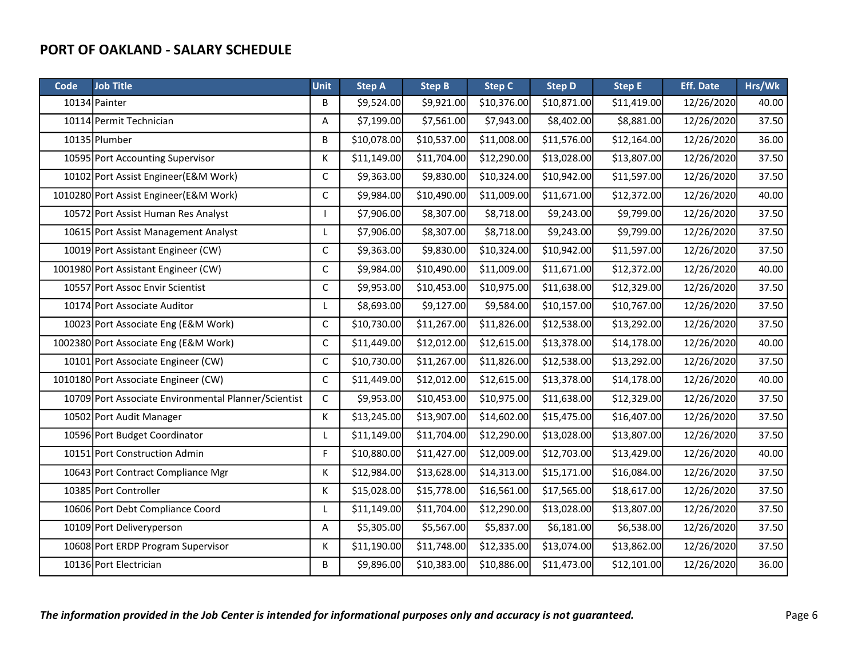| Code | <b>Job Title</b>                                     | <b>Unit</b> | <b>Step A</b> | <b>Step B</b> | <b>Step C</b> | <b>Step D</b> | <b>Step E</b> | <b>Eff. Date</b> | Hrs/Wk |
|------|------------------------------------------------------|-------------|---------------|---------------|---------------|---------------|---------------|------------------|--------|
|      | 10134 Painter                                        | B           | \$9,524.00    | \$9,921.00    | \$10,376.00   | \$10,871.00   | \$11,419.00   | 12/26/2020       | 40.00  |
|      | 10114 Permit Technician                              | Α           | \$7,199.00    | \$7,561.00    | \$7,943.00    | \$8,402.00    | \$8,881.00    | 12/26/2020       | 37.50  |
|      | 10135 Plumber                                        | B           | \$10,078.00   | \$10,537.00   | \$11,008.00   | \$11,576.00   | \$12,164.00   | 12/26/2020       | 36.00  |
|      | 10595 Port Accounting Supervisor                     | Κ           | \$11,149.00   | \$11,704.00   | \$12,290.00   | \$13,028.00   | \$13,807.00   | 12/26/2020       | 37.50  |
|      | 10102 Port Assist Engineer (E&M Work)                | C           | \$9,363.00    | \$9,830.00    | \$10,324.00   | \$10,942.00   | \$11,597.00   | 12/26/2020       | 37.50  |
|      | 1010280 Port Assist Engineer (E&M Work)              | $\mathsf C$ | \$9,984.00    | \$10,490.00   | \$11,009.00   | \$11,671.00   | \$12,372.00   | 12/26/2020       | 40.00  |
|      | 10572 Port Assist Human Res Analyst                  |             | \$7,906.00    | \$8,307.00    | \$8,718.00    | \$9,243.00    | \$9,799.00    | 12/26/2020       | 37.50  |
|      | 10615 Port Assist Management Analyst                 | L           | \$7,906.00    | \$8,307.00    | \$8,718.00    | \$9,243.00    | \$9,799.00    | 12/26/2020       | 37.50  |
|      | 10019 Port Assistant Engineer (CW)                   | $\mathsf C$ | \$9,363.00    | \$9,830.00    | \$10,324.00   | \$10,942.00   | \$11,597.00   | 12/26/2020       | 37.50  |
|      | 1001980 Port Assistant Engineer (CW)                 | C           | \$9,984.00    | \$10,490.00   | \$11,009.00   | \$11,671.00   | \$12,372.00   | 12/26/2020       | 40.00  |
|      | 10557 Port Assoc Envir Scientist                     | C           | \$9,953.00    | \$10,453.00   | \$10,975.00   | \$11,638.00   | \$12,329.00   | 12/26/2020       | 37.50  |
|      | 10174 Port Associate Auditor                         | L           | \$8,693.00    | \$9,127.00    | \$9,584.00    | \$10,157.00   | \$10,767.00   | 12/26/2020       | 37.50  |
|      | 10023 Port Associate Eng (E&M Work)                  | C           | \$10,730.00   | \$11,267.00   | \$11,826.00   | \$12,538.00   | \$13,292.00   | 12/26/2020       | 37.50  |
|      | 1002380 Port Associate Eng (E&M Work)                | $\mathsf C$ | \$11,449.00   | \$12,012.00   | \$12,615.00   | \$13,378.00   | \$14,178.00   | 12/26/2020       | 40.00  |
|      | 10101 Port Associate Engineer (CW)                   | C           | \$10,730.00   | \$11,267.00   | \$11,826.00   | \$12,538.00   | \$13,292.00   | 12/26/2020       | 37.50  |
|      | 1010180 Port Associate Engineer (CW)                 | $\mathsf C$ | \$11,449.00   | \$12,012.00   | \$12,615.00   | \$13,378.00   | \$14,178.00   | 12/26/2020       | 40.00  |
|      | 10709 Port Associate Environmental Planner/Scientist | C           | \$9,953.00    | \$10,453.00   | \$10,975.00   | \$11,638.00   | \$12,329.00   | 12/26/2020       | 37.50  |
|      | 10502 Port Audit Manager                             | К           | \$13,245.00   | \$13,907.00   | \$14,602.00   | \$15,475.00   | \$16,407.00   | 12/26/2020       | 37.50  |
|      | 10596 Port Budget Coordinator                        | L           | \$11,149.00   | \$11,704.00   | \$12,290.00   | \$13,028.00   | \$13,807.00   | 12/26/2020       | 37.50  |
|      | 10151 Port Construction Admin                        | F           | \$10,880.00   | \$11,427.00   | \$12,009.00   | \$12,703.00   | \$13,429.00   | 12/26/2020       | 40.00  |
|      | 10643 Port Contract Compliance Mgr                   | К           | \$12,984.00   | \$13,628.00   | \$14,313.00   | \$15,171.00   | \$16,084.00   | 12/26/2020       | 37.50  |
|      | 10385 Port Controller                                | Κ           | \$15,028.00   | \$15,778.00   | \$16,561.00   | \$17,565.00   | \$18,617.00   | 12/26/2020       | 37.50  |
|      | 10606 Port Debt Compliance Coord                     | L           | \$11,149.00   | \$11,704.00   | \$12,290.00   | \$13,028.00   | \$13,807.00   | 12/26/2020       | 37.50  |
|      | 10109 Port Deliveryperson                            | Α           | \$5,305.00    | \$5,567.00    | \$5,837.00    | \$6,181.00    | \$6,538.00    | 12/26/2020       | 37.50  |
|      | 10608 Port ERDP Program Supervisor                   | К           | \$11,190.00   | \$11,748.00   | \$12,335.00   | \$13,074.00   | \$13,862.00   | 12/26/2020       | 37.50  |
|      | 10136 Port Electrician                               | B           | \$9,896.00    | \$10,383.00   | \$10,886.00   | \$11,473.00   | \$12,101.00   | 12/26/2020       | 36.00  |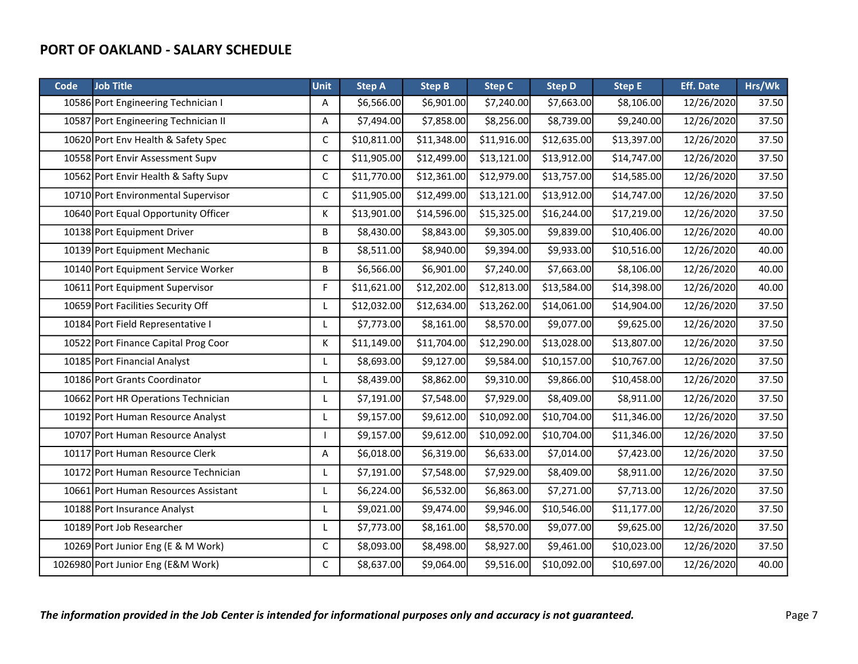| Code | <b>Job Title</b>                     | <b>Unit</b>  | <b>Step A</b> | <b>Step B</b> | <b>Step C</b> | <b>Step D</b> | <b>Step E</b> | <b>Eff. Date</b> | Hrs/Wk |
|------|--------------------------------------|--------------|---------------|---------------|---------------|---------------|---------------|------------------|--------|
|      | 10586 Port Engineering Technician I  | Α            | \$6,566.00    | \$6,901.00    | \$7,240.00    | \$7,663.00    | \$8,106.00    | 12/26/2020       | 37.50  |
|      | 10587 Port Engineering Technician II | Α            | \$7,494.00    | \$7,858.00    | \$8,256.00    | \$8,739.00    | \$9,240.00    | 12/26/2020       | 37.50  |
|      | 10620 Port Env Health & Safety Spec  | $\mathsf C$  | \$10,811.00   | \$11,348.00   | \$11,916.00   | \$12,635.00   | \$13,397.00   | 12/26/2020       | 37.50  |
|      | 10558 Port Envir Assessment Supv     | $\mathsf{C}$ | \$11,905.00   | \$12,499.00   | \$13,121.00   | \$13,912.00   | \$14,747.00   | 12/26/2020       | 37.50  |
|      | 10562 Port Envir Health & Safty Supv | $\mathsf C$  | \$11,770.00   | \$12,361.00   | \$12,979.00   | \$13,757.00   | \$14,585.00   | 12/26/2020       | 37.50  |
|      | 10710 Port Environmental Supervisor  | C            | \$11,905.00   | \$12,499.00   | \$13,121.00   | \$13,912.00   | \$14,747.00   | 12/26/2020       | 37.50  |
|      | 10640 Port Equal Opportunity Officer | Κ            | \$13,901.00   | \$14,596.00   | \$15,325.00   | \$16,244.00   | \$17,219.00   | 12/26/2020       | 37.50  |
|      | 10138 Port Equipment Driver          | B            | \$8,430.00    | \$8,843.00    | \$9,305.00    | \$9,839.00    | \$10,406.00   | 12/26/2020       | 40.00  |
|      | 10139 Port Equipment Mechanic        | B            | \$8,511.00    | \$8,940.00    | \$9,394.00    | \$9,933.00    | \$10,516.00   | 12/26/2020       | 40.00  |
|      | 10140 Port Equipment Service Worker  | B            | \$6,566.00    | \$6,901.00    | \$7,240.00    | \$7,663.00    | \$8,106.00    | 12/26/2020       | 40.00  |
|      | 10611 Port Equipment Supervisor      | F            | \$11,621.00   | \$12,202.00   | \$12,813.00   | \$13,584.00   | \$14,398.00   | 12/26/2020       | 40.00  |
|      | 10659 Port Facilities Security Off   | L            | \$12,032.00   | \$12,634.00   | \$13,262.00   | \$14,061.00   | \$14,904.00   | 12/26/2020       | 37.50  |
|      | 10184 Port Field Representative I    | L            | \$7,773.00    | \$8,161.00    | \$8,570.00    | \$9,077.00    | \$9,625.00    | 12/26/2020       | 37.50  |
|      | 10522 Port Finance Capital Prog Coor | Κ            | \$11,149.00   | \$11,704.00   | \$12,290.00   | \$13,028.00   | \$13,807.00   | 12/26/2020       | 37.50  |
|      | 10185 Port Financial Analyst         | L            | \$8,693.00    | \$9,127.00    | \$9,584.00    | \$10,157.00   | \$10,767.00   | 12/26/2020       | 37.50  |
|      | 10186 Port Grants Coordinator        | L            | \$8,439.00    | \$8,862.00    | \$9,310.00    | \$9,866.00    | \$10,458.00   | 12/26/2020       | 37.50  |
|      | 10662 Port HR Operations Technician  | L            | \$7,191.00    | \$7,548.00    | \$7,929.00    | \$8,409.00    | \$8,911.00    | 12/26/2020       | 37.50  |
|      | 10192 Port Human Resource Analyst    | L            | \$9,157.00    | \$9,612.00    | \$10,092.00   | \$10,704.00   | \$11,346.00   | 12/26/2020       | 37.50  |
|      | 10707 Port Human Resource Analyst    |              | \$9,157.00    | \$9,612.00    | \$10,092.00   | \$10,704.00   | \$11,346.00   | 12/26/2020       | 37.50  |
|      | 10117 Port Human Resource Clerk      | Α            | \$6,018.00    | \$6,319.00    | \$6,633.00    | \$7,014.00    | \$7,423.00    | 12/26/2020       | 37.50  |
|      | 10172 Port Human Resource Technician | L            | \$7,191.00    | \$7,548.00    | \$7,929.00    | \$8,409.00    | \$8,911.00    | 12/26/2020       | 37.50  |
|      | 10661 Port Human Resources Assistant | L            | \$6,224.00    | \$6,532.00    | \$6,863.00    | \$7,271.00    | \$7,713.00    | 12/26/2020       | 37.50  |
|      | 10188 Port Insurance Analyst         | L            | \$9,021.00    | \$9,474.00    | \$9,946.00    | \$10,546.00   | \$11,177.00   | 12/26/2020       | 37.50  |
|      | 10189 Port Job Researcher            | L            | \$7,773.00    | \$8,161.00    | \$8,570.00    | \$9,077.00    | \$9,625.00    | 12/26/2020       | 37.50  |
|      | 10269 Port Junior Eng (E & M Work)   | С            | \$8,093.00    | \$8,498.00    | \$8,927.00    | \$9,461.00    | \$10,023.00   | 12/26/2020       | 37.50  |
|      | 1026980 Port Junior Eng (E&M Work)   | C            | \$8,637.00    | \$9,064.00    | \$9,516.00    | \$10,092.00   | \$10,697.00   | 12/26/2020       | 40.00  |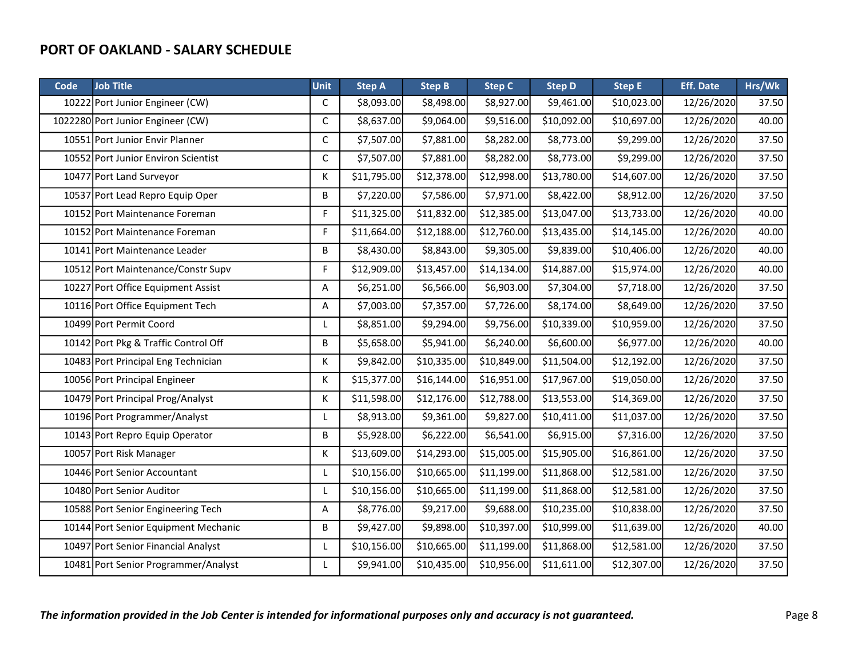| Code | <b>Job Title</b>                     | <b>Unit</b> | <b>Step A</b> | <b>Step B</b> | <b>Step C</b> | <b>Step D</b> | <b>Step E</b> | <b>Eff. Date</b> | Hrs/Wk |
|------|--------------------------------------|-------------|---------------|---------------|---------------|---------------|---------------|------------------|--------|
|      | 10222 Port Junior Engineer (CW)      | C           | \$8,093.00    | \$8,498.00    | \$8,927.00    | \$9,461.00    | \$10,023.00   | 12/26/2020       | 37.50  |
|      | 1022280 Port Junior Engineer (CW)    | C           | \$8,637.00    | \$9,064.00    | \$9,516.00    | \$10,092.00   | \$10,697.00   | 12/26/2020       | 40.00  |
|      | 10551 Port Junior Envir Planner      | C           | \$7,507.00    | \$7,881.00    | \$8,282.00    | \$8,773.00    | \$9,299.00    | 12/26/2020       | 37.50  |
|      | 10552 Port Junior Environ Scientist  | C           | \$7,507.00    | \$7,881.00    | \$8,282.00    | \$8,773.00    | \$9,299.00    | 12/26/2020       | 37.50  |
|      | 10477 Port Land Surveyor             | K           | \$11,795.00   | \$12,378.00   | \$12,998.00   | \$13,780.00   | \$14,607.00   | 12/26/2020       | 37.50  |
|      | 10537 Port Lead Repro Equip Oper     | B           | \$7,220.00    | \$7,586.00    | \$7,971.00    | \$8,422.00    | \$8,912.00    | 12/26/2020       | 37.50  |
|      | 10152 Port Maintenance Foreman       | F           | \$11,325.00   | \$11,832.00   | \$12,385.00   | \$13,047.00   | \$13,733.00   | 12/26/2020       | 40.00  |
|      | 10152 Port Maintenance Foreman       | F           | \$11,664.00   | \$12,188.00   | \$12,760.00   | \$13,435.00   | \$14,145.00   | 12/26/2020       | 40.00  |
|      | 10141 Port Maintenance Leader        | B           | \$8,430.00    | \$8,843.00    | \$9,305.00    | \$9,839.00    | \$10,406.00   | 12/26/2020       | 40.00  |
|      | 10512 Port Maintenance/Constr Supv   | F           | \$12,909.00   | \$13,457.00   | \$14,134.00   | \$14,887.00   | \$15,974.00   | 12/26/2020       | 40.00  |
|      | 10227 Port Office Equipment Assist   | Α           | \$6,251.00    | \$6,566.00    | \$6,903.00    | \$7,304.00    | \$7,718.00    | 12/26/2020       | 37.50  |
|      | 10116 Port Office Equipment Tech     | Α           | \$7,003.00    | \$7,357.00    | \$7,726.00    | \$8,174.00    | \$8,649.00    | 12/26/2020       | 37.50  |
|      | 10499 Port Permit Coord              | L           | \$8,851.00    | \$9,294.00    | \$9,756.00    | \$10,339.00   | \$10,959.00   | 12/26/2020       | 37.50  |
|      | 10142 Port Pkg & Traffic Control Off | B           | \$5,658.00    | \$5,941.00    | \$6,240.00    | \$6,600.00    | \$6,977.00    | 12/26/2020       | 40.00  |
|      | 10483 Port Principal Eng Technician  | Κ           | \$9,842.00    | \$10,335.00   | \$10,849.00   | \$11,504.00   | \$12,192.00   | 12/26/2020       | 37.50  |
|      | 10056 Port Principal Engineer        | К           | \$15,377.00   | \$16,144.00   | \$16,951.00   | \$17,967.00   | \$19,050.00   | 12/26/2020       | 37.50  |
|      | 10479 Port Principal Prog/Analyst    | К           | \$11,598.00   | \$12,176.00   | \$12,788.00   | \$13,553.00   | \$14,369.00   | 12/26/2020       | 37.50  |
|      | 10196 Port Programmer/Analyst        | L           | \$8,913.00    | \$9,361.00    | \$9,827.00    | \$10,411.00   | \$11,037.00   | 12/26/2020       | 37.50  |
|      | 10143 Port Repro Equip Operator      | B           | \$5,928.00    | \$6,222.00    | \$6,541.00    | \$6,915.00    | \$7,316.00    | 12/26/2020       | 37.50  |
|      | 10057 Port Risk Manager              | К           | \$13,609.00   | \$14,293.00   | \$15,005.00   | \$15,905.00   | \$16,861.00   | 12/26/2020       | 37.50  |
|      | 10446 Port Senior Accountant         | L           | \$10,156.00   | \$10,665.00   | \$11,199.00   | \$11,868.00   | \$12,581.00   | 12/26/2020       | 37.50  |
|      | 10480 Port Senior Auditor            | L           | \$10,156.00   | \$10,665.00   | \$11,199.00   | \$11,868.00   | \$12,581.00   | 12/26/2020       | 37.50  |
|      | 10588 Port Senior Engineering Tech   | Α           | \$8,776.00    | \$9,217.00    | \$9,688.00    | \$10,235.00   | \$10,838.00   | 12/26/2020       | 37.50  |
|      | 10144 Port Senior Equipment Mechanic | B           | \$9,427.00    | \$9,898.00    | \$10,397.00   | \$10,999.00   | \$11,639.00   | 12/26/2020       | 40.00  |
|      | 10497 Port Senior Financial Analyst  | L           | \$10,156.00   | \$10,665.00   | \$11,199.00   | \$11,868.00   | \$12,581.00   | 12/26/2020       | 37.50  |
|      | 10481 Port Senior Programmer/Analyst | L           | \$9,941.00    | \$10,435.00   | \$10,956.00   | \$11,611.00   | \$12,307.00   | 12/26/2020       | 37.50  |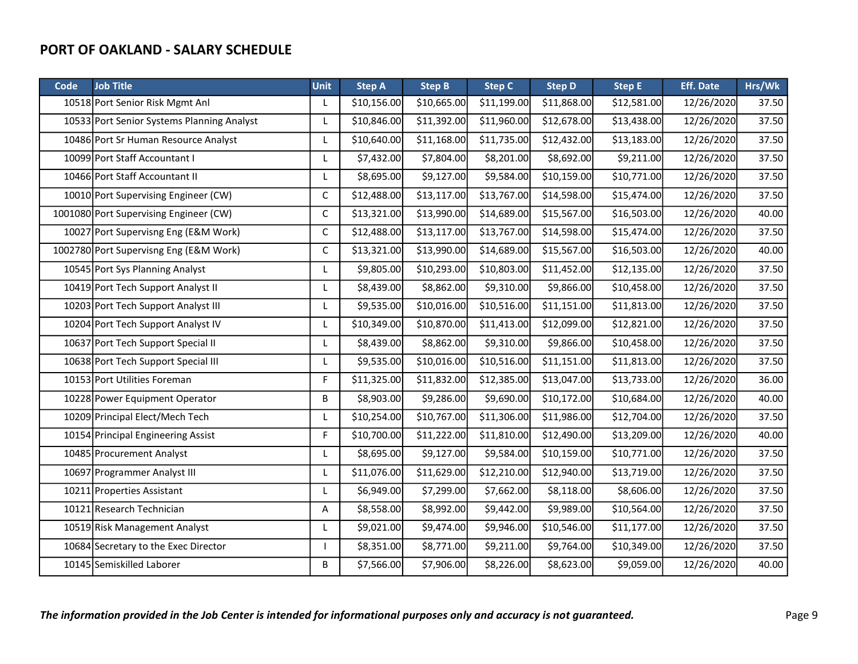| Code | <b>Job Title</b>                           | <b>Unit</b> | <b>Step A</b> | <b>Step B</b> | <b>Step C</b> | <b>Step D</b> | <b>Step E</b> | <b>Eff. Date</b> | Hrs/Wk |
|------|--------------------------------------------|-------------|---------------|---------------|---------------|---------------|---------------|------------------|--------|
|      | 10518 Port Senior Risk Mgmt Anl            | L           | \$10,156.00   | \$10,665.00   | \$11,199.00   | \$11,868.00   | \$12,581.00   | 12/26/2020       | 37.50  |
|      | 10533 Port Senior Systems Planning Analyst | L           | \$10,846.00   | \$11,392.00   | \$11,960.00   | \$12,678.00   | \$13,438.00   | 12/26/2020       | 37.50  |
|      | 10486 Port Sr Human Resource Analyst       | L           | \$10,640.00   | \$11,168.00   | \$11,735.00   | \$12,432.00   | \$13,183.00   | 12/26/2020       | 37.50  |
|      | 10099 Port Staff Accountant I              | L           | \$7,432.00    | \$7,804.00    | \$8,201.00    | \$8,692.00    | \$9,211.00    | 12/26/2020       | 37.50  |
|      | 10466 Port Staff Accountant II             | L           | \$8,695.00    | \$9,127.00    | \$9,584.00    | \$10,159.00   | \$10,771.00   | 12/26/2020       | 37.50  |
|      | 10010 Port Supervising Engineer (CW)       | C           | \$12,488.00   | \$13,117.00   | \$13,767.00   | \$14,598.00   | \$15,474.00   | 12/26/2020       | 37.50  |
|      | 1001080 Port Supervising Engineer (CW)     | С           | \$13,321.00   | \$13,990.00   | \$14,689.00   | \$15,567.00   | \$16,503.00   | 12/26/2020       | 40.00  |
|      | 10027 Port Supervisng Eng (E&M Work)       | С           | \$12,488.00   | \$13,117.00   | \$13,767.00   | \$14,598.00   | \$15,474.00   | 12/26/2020       | 37.50  |
|      | 1002780 Port Supervisng Eng (E&M Work)     | C           | \$13,321.00   | \$13,990.00   | \$14,689.00   | \$15,567.00   | \$16,503.00   | 12/26/2020       | 40.00  |
|      | 10545 Port Sys Planning Analyst            | L           | \$9,805.00    | \$10,293.00   | \$10,803.00   | \$11,452.00   | \$12,135.00   | 12/26/2020       | 37.50  |
|      | 10419 Port Tech Support Analyst II         | L           | \$8,439.00    | \$8,862.00    | \$9,310.00    | \$9,866.00    | \$10,458.00   | 12/26/2020       | 37.50  |
|      | 10203 Port Tech Support Analyst III        | L           | \$9,535.00    | \$10,016.00   | \$10,516.00   | \$11,151.00   | \$11,813.00   | 12/26/2020       | 37.50  |
|      | 10204 Port Tech Support Analyst IV         | L           | \$10,349.00   | \$10,870.00   | \$11,413.00   | \$12,099.00   | \$12,821.00   | 12/26/2020       | 37.50  |
|      | 10637 Port Tech Support Special II         | L           | \$8,439.00    | \$8,862.00    | \$9,310.00    | \$9,866.00    | \$10,458.00   | 12/26/2020       | 37.50  |
|      | 10638 Port Tech Support Special III        | L           | \$9,535.00    | \$10,016.00   | \$10,516.00   | \$11,151.00   | \$11,813.00   | 12/26/2020       | 37.50  |
|      | 10153 Port Utilities Foreman               | F           | \$11,325.00   | \$11,832.00   | \$12,385.00   | \$13,047.00   | \$13,733.00   | 12/26/2020       | 36.00  |
|      | 10228 Power Equipment Operator             | В           | \$8,903.00    | \$9,286.00    | \$9,690.00    | \$10,172.00   | \$10,684.00   | 12/26/2020       | 40.00  |
|      | 10209 Principal Elect/Mech Tech            | L           | \$10,254.00   | \$10,767.00   | \$11,306.00   | \$11,986.00   | \$12,704.00   | 12/26/2020       | 37.50  |
|      | 10154 Principal Engineering Assist         | F           | \$10,700.00   | \$11,222.00   | \$11,810.00   | \$12,490.00   | \$13,209.00   | 12/26/2020       | 40.00  |
|      | 10485 Procurement Analyst                  | L           | \$8,695.00    | \$9,127.00    | \$9,584.00    | \$10,159.00   | \$10,771.00   | 12/26/2020       | 37.50  |
|      | 10697 Programmer Analyst III               | L           | \$11,076.00   | \$11,629.00   | \$12,210.00   | \$12,940.00   | \$13,719.00   | 12/26/2020       | 37.50  |
|      | 10211 Properties Assistant                 | L           | \$6,949.00    | \$7,299.00    | \$7,662.00    | \$8,118.00    | \$8,606.00    | 12/26/2020       | 37.50  |
|      | 10121 Research Technician                  | Α           | \$8,558.00    | \$8,992.00    | \$9,442.00    | \$9,989.00    | \$10,564.00   | 12/26/2020       | 37.50  |
|      | 10519 Risk Management Analyst              | L           | \$9,021.00    | \$9,474.00    | \$9,946.00    | \$10,546.00   | \$11,177.00   | 12/26/2020       | 37.50  |
|      | 10684 Secretary to the Exec Director       | ı           | \$8,351.00    | \$8,771.00    | \$9,211.00    | \$9,764.00    | \$10,349.00   | 12/26/2020       | 37.50  |
|      | 10145 Semiskilled Laborer                  | B           | \$7,566.00    | \$7,906.00    | \$8,226.00    | \$8,623.00    | \$9,059.00    | 12/26/2020       | 40.00  |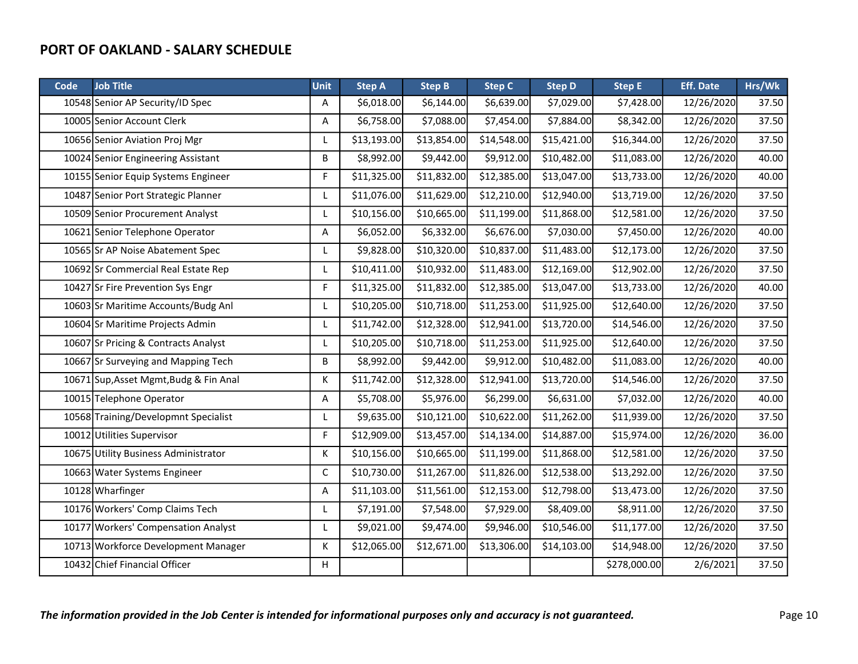| Code | <b>Job Title</b>                       | <b>Unit</b> | <b>Step A</b> | <b>Step B</b> | <b>Step C</b> | <b>Step D</b> | <b>Step E</b> | <b>Eff. Date</b> | Hrs/Wk |
|------|----------------------------------------|-------------|---------------|---------------|---------------|---------------|---------------|------------------|--------|
|      | 10548 Senior AP Security/ID Spec       | Α           | \$6,018.00    | \$6,144.00    | \$6,639.00    | \$7,029.00    | \$7,428.00    | 12/26/2020       | 37.50  |
|      | 10005 Senior Account Clerk             | Α           | \$6,758.00    | \$7,088.00    | \$7,454.00    | \$7,884.00    | \$8,342.00    | 12/26/2020       | 37.50  |
|      | 10656 Senior Aviation Proj Mgr         | L           | \$13,193.00   | \$13,854.00   | \$14,548.00   | \$15,421.00   | \$16,344.00   | 12/26/2020       | 37.50  |
|      | 10024 Senior Engineering Assistant     | В           | \$8,992.00    | \$9,442.00    | \$9,912.00    | \$10,482.00   | \$11,083.00   | 12/26/2020       | 40.00  |
|      | 10155 Senior Equip Systems Engineer    | F           | \$11,325.00   | \$11,832.00   | \$12,385.00   | \$13,047.00   | \$13,733.00   | 12/26/2020       | 40.00  |
|      | 10487 Senior Port Strategic Planner    | L           | \$11,076.00   | \$11,629.00   | \$12,210.00   | \$12,940.00   | \$13,719.00   | 12/26/2020       | 37.50  |
|      | 10509 Senior Procurement Analyst       | Г           | \$10,156.00   | \$10,665.00   | \$11,199.00   | \$11,868.00   | \$12,581.00   | 12/26/2020       | 37.50  |
|      | 10621 Senior Telephone Operator        | Α           | \$6,052.00    | \$6,332.00    | \$6,676.00    | \$7,030.00    | \$7,450.00    | 12/26/2020       | 40.00  |
|      | 10565 Sr AP Noise Abatement Spec       | L           | \$9,828.00    | \$10,320.00   | \$10,837.00   | \$11,483.00   | \$12,173.00   | 12/26/2020       | 37.50  |
|      | 10692 Sr Commercial Real Estate Rep    | L           | \$10,411.00   | \$10,932.00   | \$11,483.00   | \$12,169.00   | \$12,902.00   | 12/26/2020       | 37.50  |
|      | 10427 Sr Fire Prevention Sys Engr      | F           | \$11,325.00   | \$11,832.00   | \$12,385.00   | \$13,047.00   | \$13,733.00   | 12/26/2020       | 40.00  |
|      | 10603 Sr Maritime Accounts/Budg Anl    | L           | \$10,205.00   | \$10,718.00   | \$11,253.00   | \$11,925.00   | \$12,640.00   | 12/26/2020       | 37.50  |
|      | 10604 Sr Maritime Projects Admin       | L           | \$11,742.00   | \$12,328.00   | \$12,941.00   | \$13,720.00   | \$14,546.00   | 12/26/2020       | 37.50  |
|      | 10607 Sr Pricing & Contracts Analyst   | L           | \$10,205.00   | \$10,718.00   | \$11,253.00   | \$11,925.00   | \$12,640.00   | 12/26/2020       | 37.50  |
|      | 10667 Sr Surveying and Mapping Tech    | В           | \$8,992.00    | \$9,442.00    | \$9,912.00    | \$10,482.00   | \$11,083.00   | 12/26/2020       | 40.00  |
|      | 10671 Sup, Asset Mgmt, Budg & Fin Anal | Κ           | \$11,742.00   | \$12,328.00   | \$12,941.00   | \$13,720.00   | \$14,546.00   | 12/26/2020       | 37.50  |
|      | 10015 Telephone Operator               | Α           | \$5,708.00    | \$5,976.00    | \$6,299.00    | \$6,631.00    | \$7,032.00    | 12/26/2020       | 40.00  |
|      | 10568 Training/Developmnt Specialist   | L           | \$9,635.00    | \$10,121.00   | \$10,622.00   | \$11,262.00   | \$11,939.00   | 12/26/2020       | 37.50  |
|      | 10012 Utilities Supervisor             | F           | \$12,909.00   | \$13,457.00   | \$14,134.00   | \$14,887.00   | \$15,974.00   | 12/26/2020       | 36.00  |
|      | 10675 Utility Business Administrator   | Κ           | \$10,156.00   | \$10,665.00   | \$11,199.00   | \$11,868.00   | \$12,581.00   | 12/26/2020       | 37.50  |
|      | 10663 Water Systems Engineer           | $\mathsf C$ | \$10,730.00   | \$11,267.00   | \$11,826.00   | \$12,538.00   | \$13,292.00   | 12/26/2020       | 37.50  |
|      | 10128 Wharfinger                       | Α           | \$11,103.00   | \$11,561.00   | \$12,153.00   | \$12,798.00   | \$13,473.00   | 12/26/2020       | 37.50  |
|      | 10176 Workers' Comp Claims Tech        | L           | \$7,191.00    | \$7,548.00    | \$7,929.00    | \$8,409.00    | \$8,911.00    | 12/26/2020       | 37.50  |
|      | 10177 Workers' Compensation Analyst    | L           | \$9,021.00    | \$9,474.00    | \$9,946.00    | \$10,546.00   | \$11,177.00   | 12/26/2020       | 37.50  |
|      | 10713 Workforce Development Manager    | К           | \$12,065.00   | \$12,671.00   | \$13,306.00   | \$14,103.00   | \$14,948.00   | 12/26/2020       | 37.50  |
|      | 10432 Chief Financial Officer          | н           |               |               |               |               | \$278,000.00  | 2/6/2021         | 37.50  |